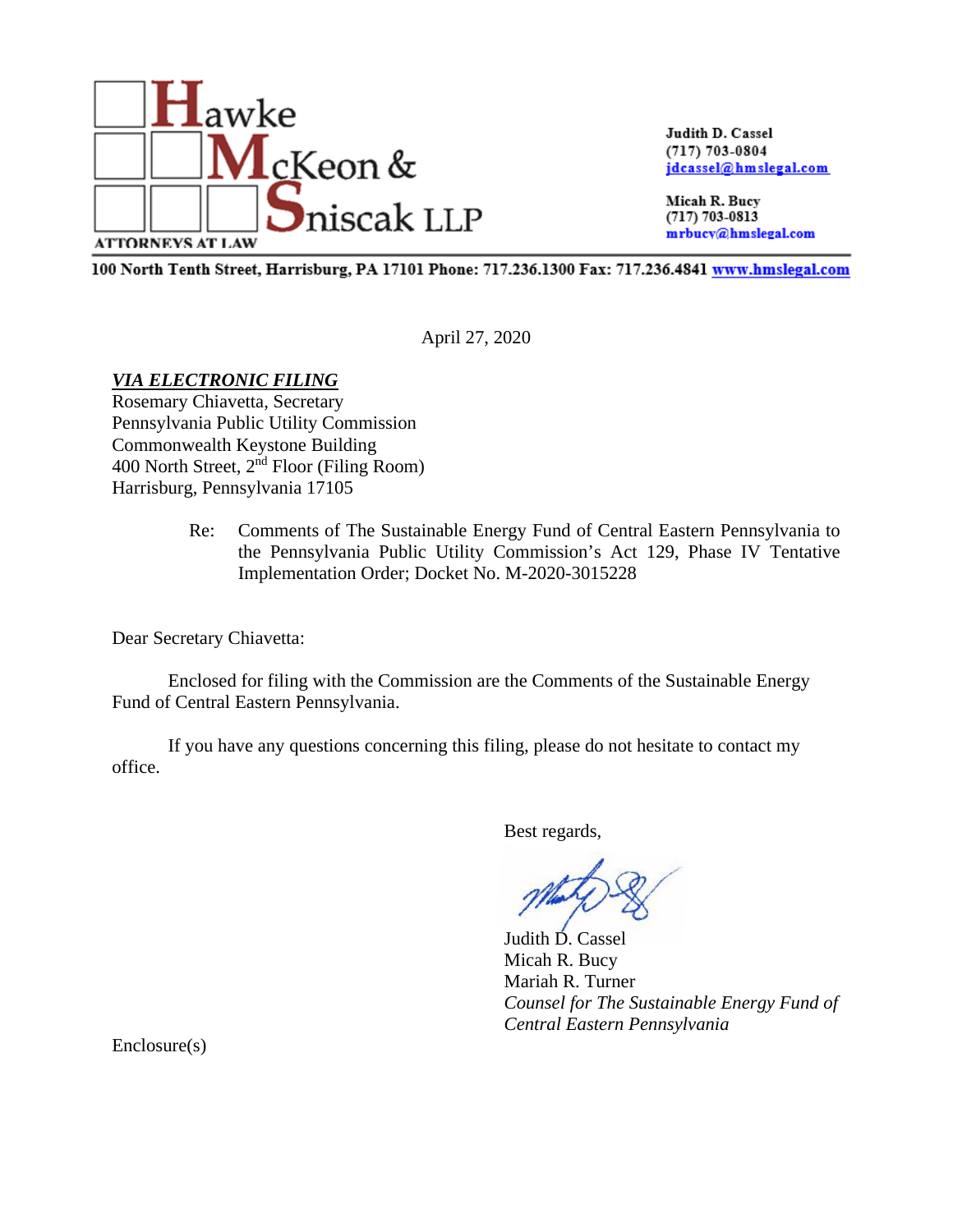

Judith D. Cassel  $(717) 703 - 0804$ jdcassel@hmslegal.com

Micah R. Bucy  $(717) 703 - 0813$ mrbucy@hmslegal.com

100 North Tenth Street, Harrisburg, PA 17101 Phone: 717.236.1300 Fax: 717.236.4841 www.hmslegal.com

April 27, 2020

# *VIA ELECTRONIC FILING*

Rosemary Chiavetta, Secretary Pennsylvania Public Utility Commission Commonwealth Keystone Building 400 North Street,  $2<sup>nd</sup>$  Floor (Filing Room) Harrisburg, Pennsylvania 17105

> Re: Comments of The Sustainable Energy Fund of Central Eastern Pennsylvania to the Pennsylvania Public Utility Commission's Act 129, Phase IV Tentative Implementation Order; Docket No. M-2020-3015228

Dear Secretary Chiavetta:

Enclosed for filing with the Commission are the Comments of the Sustainable Energy Fund of Central Eastern Pennsylvania.

If you have any questions concerning this filing, please do not hesitate to contact my office.

Best regards,

Judith D. Cassel Micah R. Bucy Mariah R. Turner *Counsel for The Sustainable Energy Fund of Central Eastern Pennsylvania*

Enclosure(s)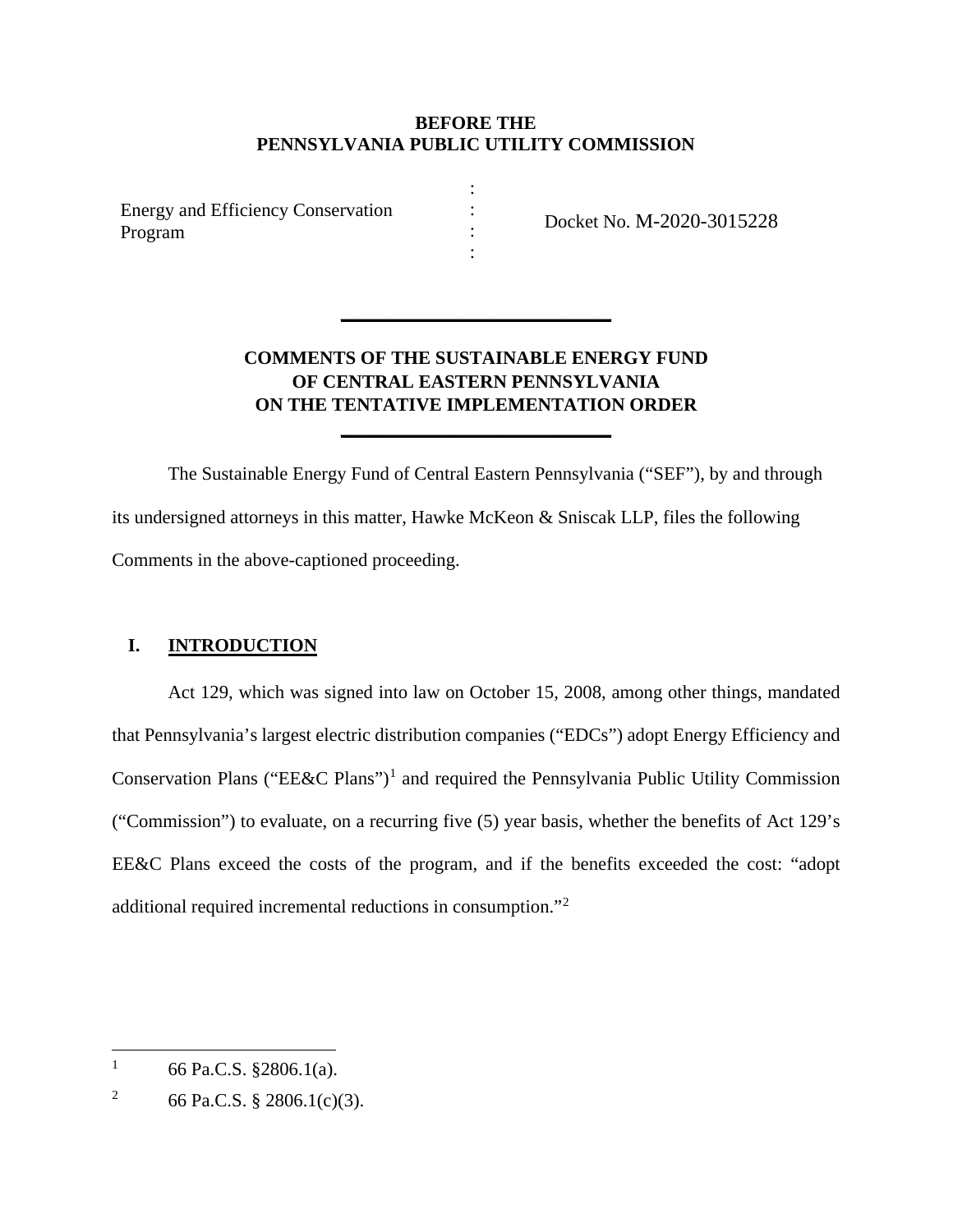### **BEFORE THE PENNSYLVANIA PUBLIC UTILITY COMMISSION**

: : : :

Energy and Efficiency Conservation Program

Docket No. M-2020-3015228

# **COMMENTS OF THE SUSTAINABLE ENERGY FUND OF CENTRAL EASTERN PENNSYLVANIA ON THE TENTATIVE IMPLEMENTATION ORDER**

**\_\_\_\_\_\_\_\_\_\_\_\_\_\_\_\_\_\_\_\_\_\_\_\_\_\_\_\_\_**

**\_\_\_\_\_\_\_\_\_\_\_\_\_\_\_\_\_\_\_\_\_\_\_\_\_\_\_\_\_**

The Sustainable Energy Fund of Central Eastern Pennsylvania ("SEF"), by and through its undersigned attorneys in this matter, Hawke McKeon & Sniscak LLP, files the following Comments in the above-captioned proceeding.

## **I. INTRODUCTION**

Act 129, which was signed into law on October 15, 2008, among other things, mandated that Pennsylvania's largest electric distribution companies ("EDCs") adopt Energy Efficiency and Conservation Plans ("EE&C Plans")<sup>[1](#page-1-0)</sup> and required the Pennsylvania Public Utility Commission ("Commission") to evaluate, on a recurring five (5) year basis, whether the benefits of Act 129's EE&C Plans exceed the costs of the program, and if the benefits exceeded the cost: "adopt additional required incremental reductions in consumption."[2](#page-1-1)

<span id="page-1-0"></span><sup>&</sup>lt;sup>1</sup> 66 Pa.C.S.  $$2806.1(a)$ .

<span id="page-1-1"></span><sup>&</sup>lt;sup>2</sup> 66 Pa.C.S. § 2806.1(c)(3).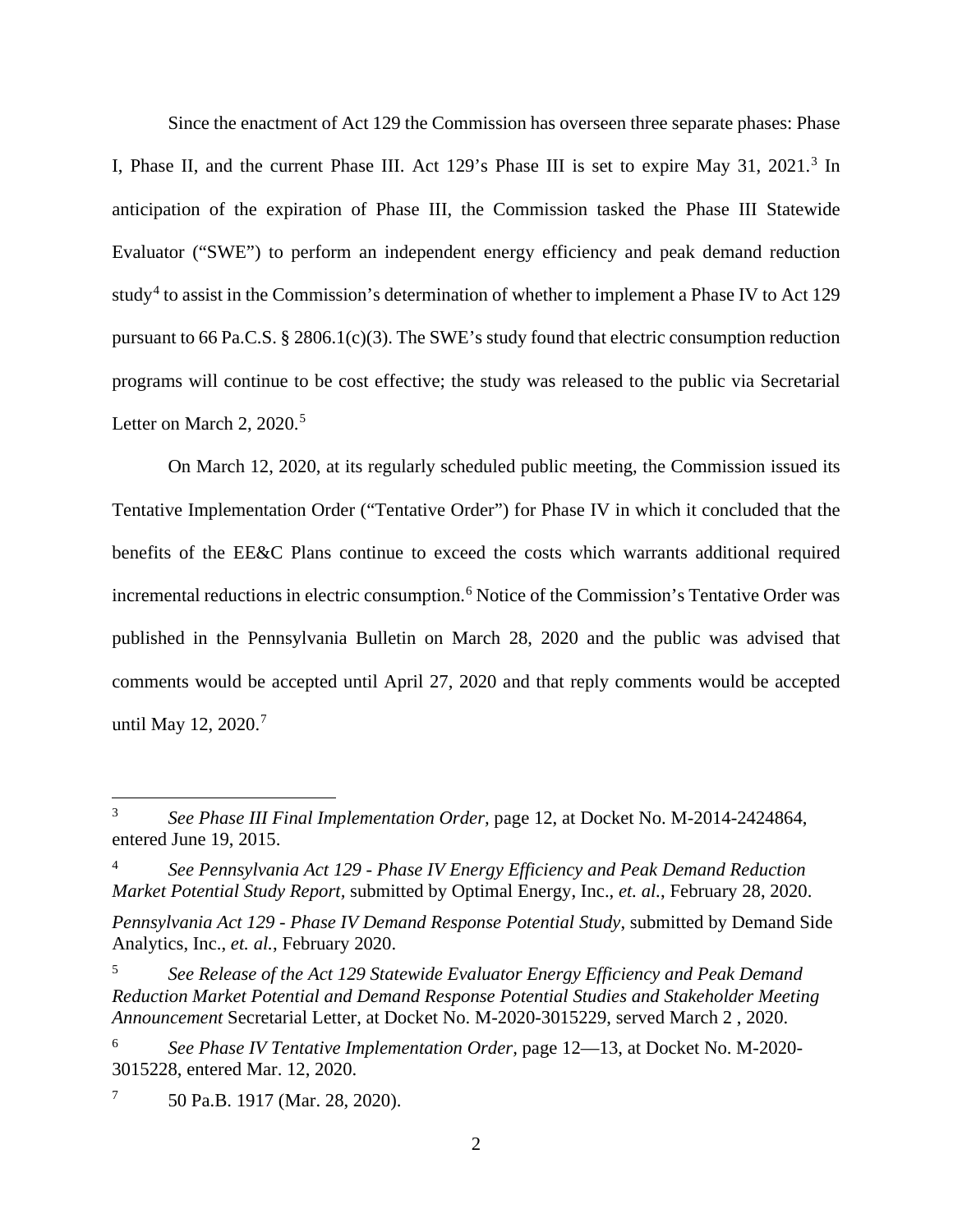Since the enactment of Act 129 the Commission has overseen three separate phases: Phase I, Phase II, and the current Phase III. Act 129's Phase III is set to expire May [3](#page-2-0)1, 2021.<sup>3</sup> In anticipation of the expiration of Phase III, the Commission tasked the Phase III Statewide Evaluator ("SWE") to perform an independent energy efficiency and peak demand reduction study<sup>[4](#page-2-1)</sup> to assist in the Commission's determination of whether to implement a Phase IV to Act 129 pursuant to 66 Pa.C.S. § 2806.1(c)(3). The SWE's study found that electric consumption reduction programs will continue to be cost effective; the study was released to the public via Secretarial Letter on March 2,  $2020$ <sup>[5](#page-2-2)</sup>

On March 12, 2020, at its regularly scheduled public meeting, the Commission issued its Tentative Implementation Order ("Tentative Order") for Phase IV in which it concluded that the benefits of the EE&C Plans continue to exceed the costs which warrants additional required incremental reductions in electric consumption.<sup>[6](#page-2-3)</sup> Notice of the Commission's Tentative Order was published in the Pennsylvania Bulletin on March 28, 2020 and the public was advised that comments would be accepted until April 27, 2020 and that reply comments would be accepted until May 12, 2020.<sup>[7](#page-2-4)</sup>

<span id="page-2-4"></span> $7$  50 Pa.B. 1917 (Mar. 28, 2020).

<span id="page-2-0"></span><sup>3</sup> *See Phase III Final Implementation Order,* page 12, at Docket No. M-2014-2424864, entered June 19, 2015.

<span id="page-2-1"></span><sup>4</sup> *See Pennsylvania Act 129 - Phase IV Energy Efficiency and Peak Demand Reduction Market Potential Study Report,* submitted by Optimal Energy, Inc., *et. al.*, February 28, 2020.

*Pennsylvania Act 129 - Phase IV Demand Response Potential Study*, submitted by Demand Side Analytics, Inc., *et. al.*, February 2020.

<span id="page-2-2"></span><sup>5</sup> *See Release of the Act 129 Statewide Evaluator Energy Efficiency and Peak Demand Reduction Market Potential and Demand Response Potential Studies and Stakeholder Meeting Announcement* Secretarial Letter, at Docket No. M-2020-3015229, served March 2 , 2020.

<span id="page-2-3"></span><sup>6</sup> *See Phase IV Tentative Implementation Order,* page 12—13, at Docket No. M-2020- 3015228, entered Mar. 12, 2020.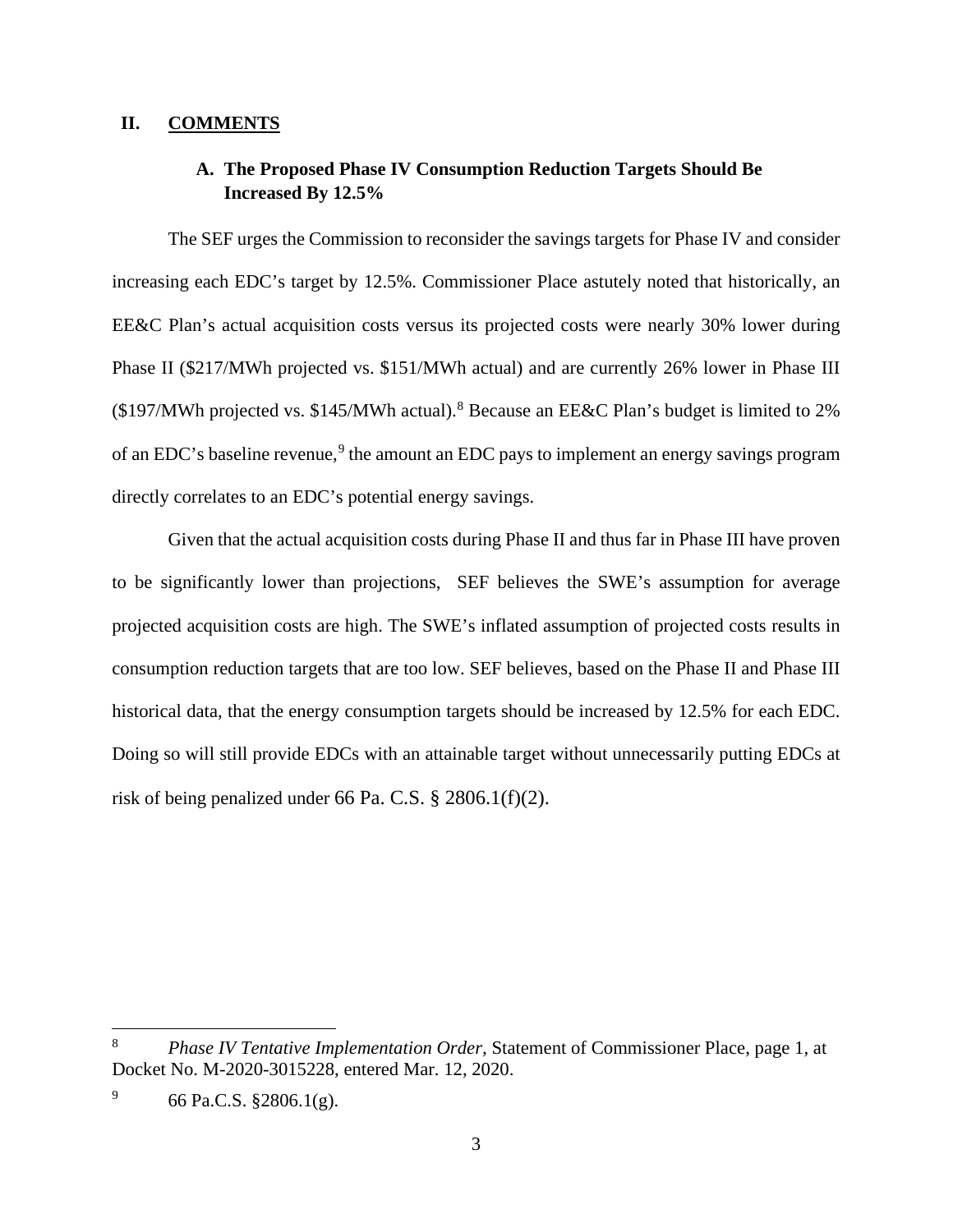### **II. COMMENTS**

### **A. The Proposed Phase IV Consumption Reduction Targets Should Be Increased By 12.5%**

The SEF urges the Commission to reconsider the savings targets for Phase IV and consider increasing each EDC's target by 12.5%. Commissioner Place astutely noted that historically, an EE&C Plan's actual acquisition costs versus its projected costs were nearly 30% lower during Phase II (\$217/MWh projected vs. \$151/MWh actual) and are currently 26% lower in Phase III ( $$197/MWh$  projected vs.  $$145/MWh$  actual).<sup>[8](#page-3-0)</sup> Because an EE&C Plan's budget is limited to 2% of an EDC's baseline revenue,<sup>[9](#page-3-1)</sup> the amount an EDC pays to implement an energy savings program directly correlates to an EDC's potential energy savings.

Given that the actual acquisition costs during Phase II and thus far in Phase III have proven to be significantly lower than projections, SEF believes the SWE's assumption for average projected acquisition costs are high. The SWE's inflated assumption of projected costs results in consumption reduction targets that are too low. SEF believes, based on the Phase II and Phase III historical data, that the energy consumption targets should be increased by 12.5% for each EDC. Doing so will still provide EDCs with an attainable target without unnecessarily putting EDCs at risk of being penalized under 66 Pa. C.S. § 2806.1(f)(2).

<span id="page-3-0"></span><sup>8</sup> *Phase IV Tentative Implementation Order,* Statement of Commissioner Place, page 1, at Docket No. M-2020-3015228, entered Mar. 12, 2020.

<span id="page-3-1"></span> $^{9}$  66 Pa.C.S. §2806.1(g).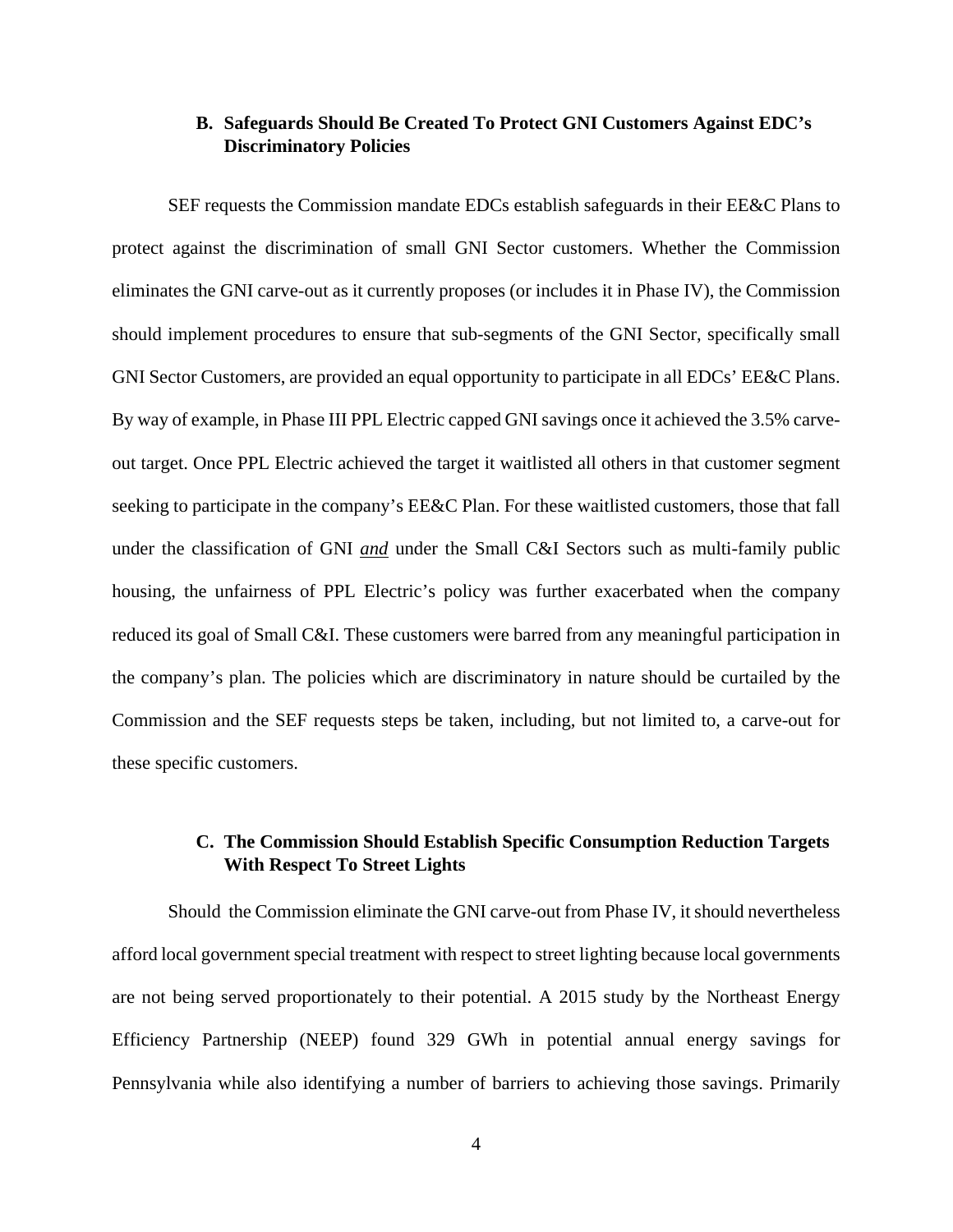### **B. Safeguards Should Be Created To Protect GNI Customers Against EDC's Discriminatory Policies**

SEF requests the Commission mandate EDCs establish safeguards in their EE&C Plans to protect against the discrimination of small GNI Sector customers. Whether the Commission eliminates the GNI carve-out as it currently proposes (or includes it in Phase IV), the Commission should implement procedures to ensure that sub-segments of the GNI Sector, specifically small GNI Sector Customers, are provided an equal opportunity to participate in all EDCs' EE&C Plans. By way of example, in Phase III PPL Electric capped GNI savings once it achieved the 3.5% carveout target. Once PPL Electric achieved the target it waitlisted all others in that customer segment seeking to participate in the company's EE&C Plan. For these waitlisted customers, those that fall under the classification of GNI *and* under the Small C&I Sectors such as multi-family public housing, the unfairness of PPL Electric's policy was further exacerbated when the company reduced its goal of Small C&I. These customers were barred from any meaningful participation in the company's plan. The policies which are discriminatory in nature should be curtailed by the Commission and the SEF requests steps be taken, including, but not limited to, a carve-out for these specific customers.

### **C. The Commission Should Establish Specific Consumption Reduction Targets With Respect To Street Lights**

Should the Commission eliminate the GNI carve-out from Phase IV, it should nevertheless afford local government special treatment with respect to street lighting because local governments are not being served proportionately to their potential. A 2015 study by the Northeast Energy Efficiency Partnership (NEEP) found 329 GWh in potential annual energy savings for Pennsylvania while also identifying a number of barriers to achieving those savings. Primarily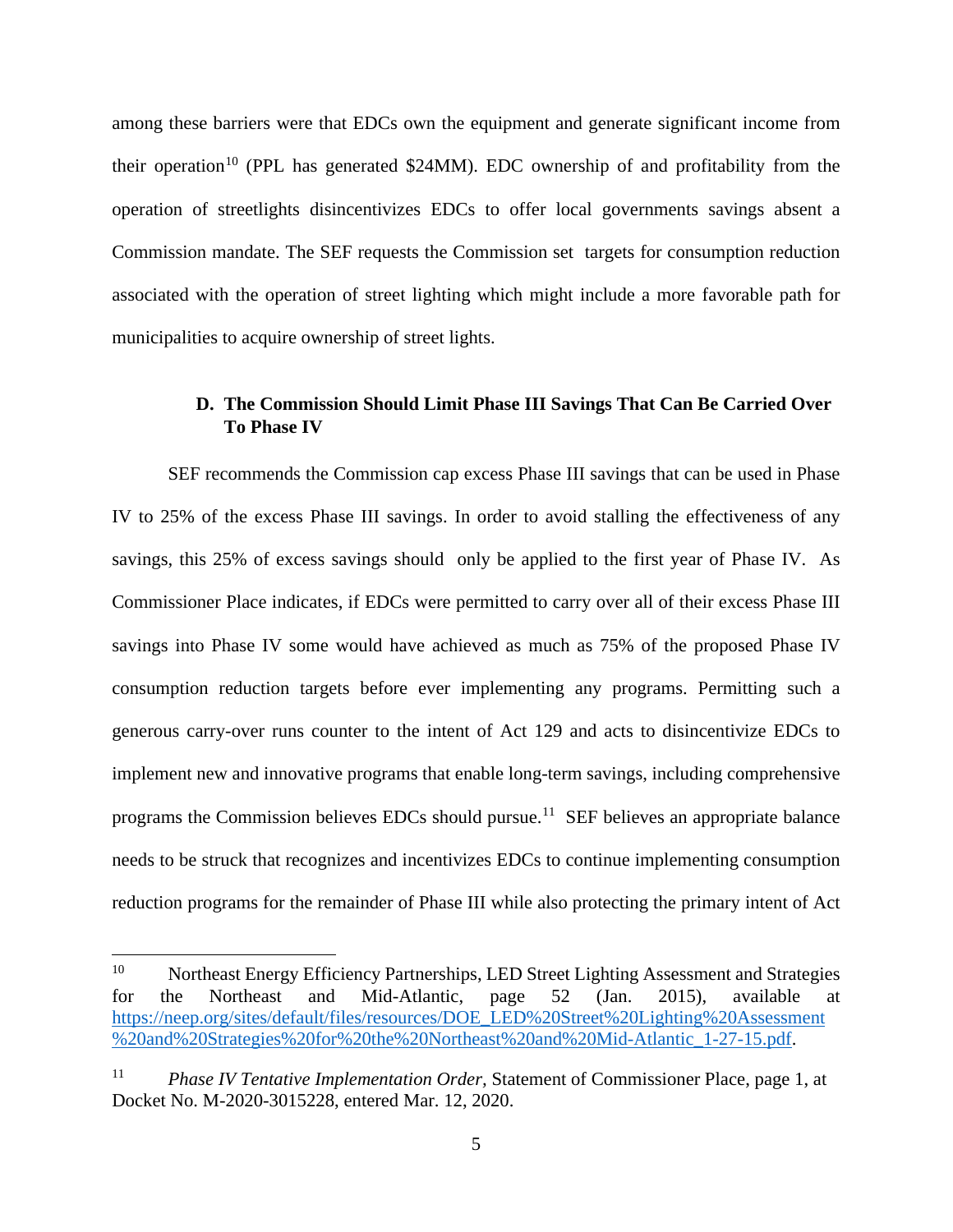among these barriers were that EDCs own the equipment and generate significant income from their operation<sup>[10](#page-5-0)</sup> (PPL has generated \$24MM). EDC ownership of and profitability from the operation of streetlights disincentivizes EDCs to offer local governments savings absent a Commission mandate. The SEF requests the Commission set targets for consumption reduction associated with the operation of street lighting which might include a more favorable path for municipalities to acquire ownership of street lights.

# **D. The Commission Should Limit Phase III Savings That Can Be Carried Over To Phase IV**

SEF recommends the Commission cap excess Phase III savings that can be used in Phase IV to 25% of the excess Phase III savings. In order to avoid stalling the effectiveness of any savings, this 25% of excess savings should only be applied to the first year of Phase IV. As Commissioner Place indicates, if EDCs were permitted to carry over all of their excess Phase III savings into Phase IV some would have achieved as much as 75% of the proposed Phase IV consumption reduction targets before ever implementing any programs. Permitting such a generous carry-over runs counter to the intent of Act 129 and acts to disincentivize EDCs to implement new and innovative programs that enable long-term savings, including comprehensive programs the Commission believes EDCs should pursue.<sup>11</sup> SEF believes an appropriate balance needs to be struck that recognizes and incentivizes EDCs to continue implementing consumption reduction programs for the remainder of Phase III while also protecting the primary intent of Act

<span id="page-5-0"></span><sup>&</sup>lt;sup>10</sup> Northeast Energy Efficiency Partnerships, LED Street Lighting Assessment and Strategies for the Northeast and Mid-Atlantic, page 52 (Jan. 2015), available at [https://neep.org/sites/default/files/resources/DOE\\_LED%20Street%20Lighting%20Assessment](https://neep.org/sites/default/files/resources/DOE_LED%20Street%20Lighting%20Assessment%20and%20Strategies%20for%20the%20Northeast%20and%20Mid-Atlantic_1-27-15.pdf) [%20and%20Strategies%20for%20the%20Northeast%20and%20Mid-Atlantic\\_1-27-15.pdf.](https://neep.org/sites/default/files/resources/DOE_LED%20Street%20Lighting%20Assessment%20and%20Strategies%20for%20the%20Northeast%20and%20Mid-Atlantic_1-27-15.pdf)

<span id="page-5-1"></span><sup>&</sup>lt;sup>11</sup> *Phase IV Tentative Implementation Order, Statement of Commissioner Place, page 1, at* Docket No. M-2020-3015228, entered Mar. 12, 2020.